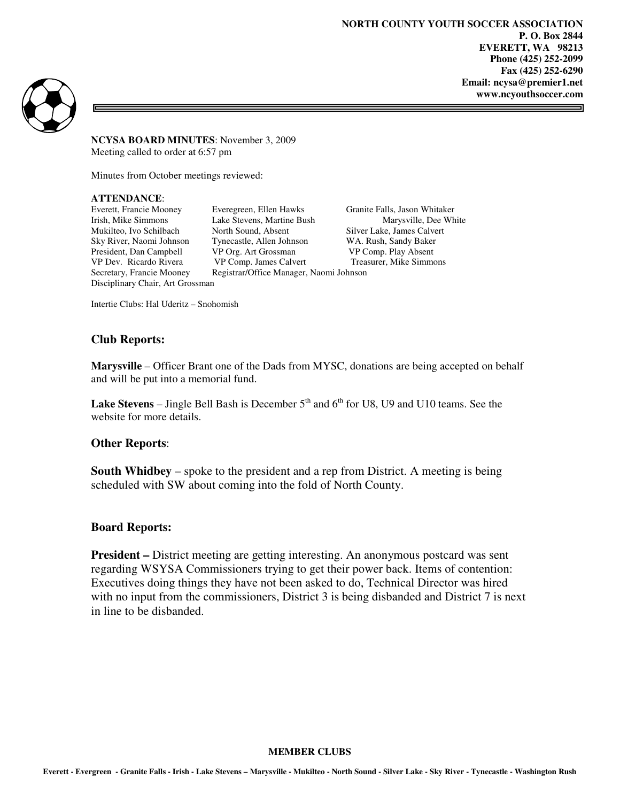**NORTH COUNTY YOUTH SOCCER ASSOCIATION P. O. Box 2844 EVERETT, WA 98213 Phone (425) 252-2099 Fax (425) 252-6290 Email: ncysa@premier1.net www.ncyouthsoccer.com** 

=



**NCYSA BOARD MINUTES**: November 3, 2009 Meeting called to order at 6:57 pm

Minutes from October meetings reviewed:

## **ATTENDANCE**:

Disciplinary Chair, Art Grossman

Everett, Francie Mooney Everegreen, Ellen Hawks Granite Falls, Jason Whitaker<br>
Irish, Mike Simmons Lake Stevens, Martine Bush Marysville, Dee Wh Lake Stevens, Martine Bush Marysville, Dee White Mukilteo, Ivo Schilbach North Sound, Absent Silver Lake, James Calvert Sky River, Naomi Johnson Tynecastle, Allen Johnson WA. Rush, Sandy Baker President, Dan Campbell VP Org. Art Grossman VP Comp. Play Absent VP Dev. Ricardo Rivera VP Comp. James Calvert Treasurer, Mike Simme Secretary, Francie Mooney Registrar/Office Manager, Naomi Johnson

Treasurer, Mike Simmons

Intertie Clubs: Hal Uderitz – Snohomish

## **Club Reports:**

**Marysville** – Officer Brant one of the Dads from MYSC, donations are being accepted on behalf and will be put into a memorial fund.

**Lake Stevens** – Jingle Bell Bash is December  $5<sup>th</sup>$  and  $6<sup>th</sup>$  for U8, U9 and U10 teams. See the website for more details.

### **Other Reports**:

**South Whidbey** – spoke to the president and a rep from District. A meeting is being scheduled with SW about coming into the fold of North County.

### **Board Reports:**

**President** – District meeting are getting interesting. An anonymous postcard was sent regarding WSYSA Commissioners trying to get their power back. Items of contention: Executives doing things they have not been asked to do, Technical Director was hired with no input from the commissioners, District 3 is being disbanded and District 7 is next in line to be disbanded.

#### **MEMBER CLUBS**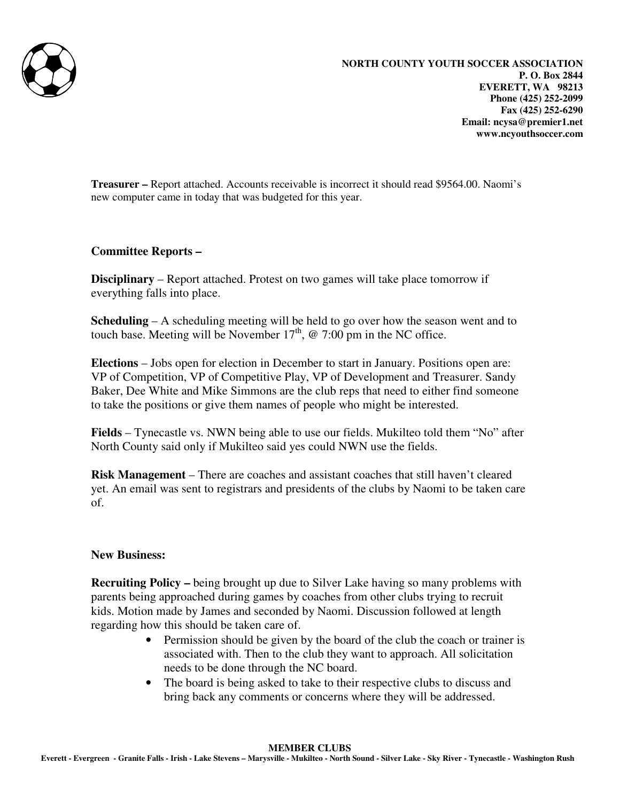

**Treasurer –** Report attached. Accounts receivable is incorrect it should read \$9564.00. Naomi's new computer came in today that was budgeted for this year.

# **Committee Reports –**

**Disciplinary** – Report attached. Protest on two games will take place tomorrow if everything falls into place.

**Scheduling** – A scheduling meeting will be held to go over how the season went and to touch base. Meeting will be November  $17<sup>th</sup>$ , @ 7:00 pm in the NC office.

**Elections** – Jobs open for election in December to start in January. Positions open are: VP of Competition, VP of Competitive Play, VP of Development and Treasurer. Sandy Baker, Dee White and Mike Simmons are the club reps that need to either find someone to take the positions or give them names of people who might be interested.

**Fields** – Tynecastle vs. NWN being able to use our fields. Mukilteo told them "No" after North County said only if Mukilteo said yes could NWN use the fields.

**Risk Management** – There are coaches and assistant coaches that still haven't cleared yet. An email was sent to registrars and presidents of the clubs by Naomi to be taken care of.

# **New Business:**

**Recruiting Policy –** being brought up due to Silver Lake having so many problems with parents being approached during games by coaches from other clubs trying to recruit kids. Motion made by James and seconded by Naomi. Discussion followed at length regarding how this should be taken care of.

- Permission should be given by the board of the club the coach or trainer is associated with. Then to the club they want to approach. All solicitation needs to be done through the NC board.
- The board is being asked to take to their respective clubs to discuss and bring back any comments or concerns where they will be addressed.